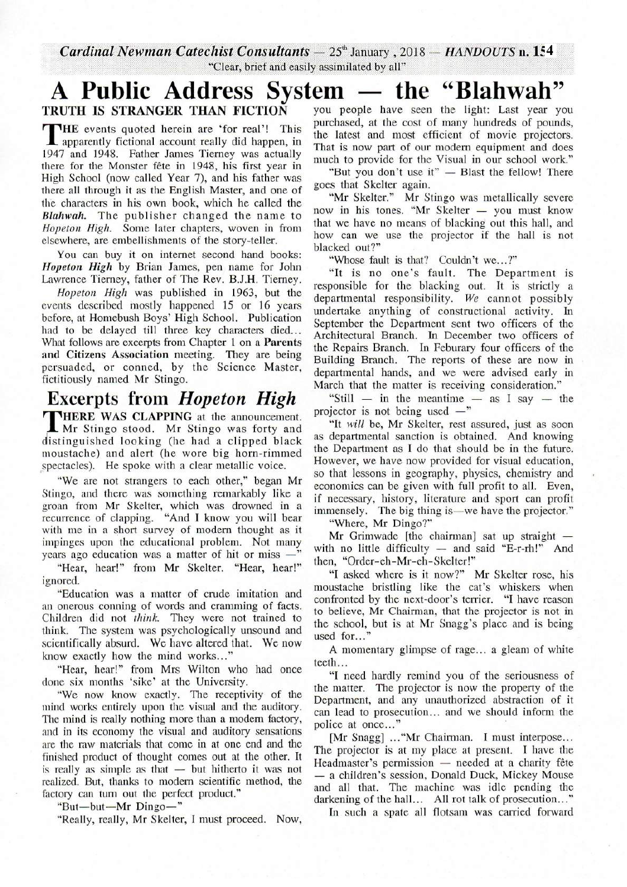**Cardinal Newman Catechist Consultants** -  $25^{\circ}$  January, 2018 - *HANDOUTS* n. 154

## *Clear, brief and easily assimilated by all"*<br>**A Public Address System — the "Blahwah"**<br>TRUTH IS STRANGER THAN FICTION you people have seen the light: Last year you

THE events quoted herein are 'for real'! This<br>1947 and 1948. Father James Tierney was actually HE events quoted herein are 'for real'! This apparently fictional account really did happen, in there for the Monster fete in 1948, his first year in High School (now called Year 7), and his father was there all through it as the English Master, and one of the characters in his own book, which he called the *Blahwah,* The publisher changed the name to *Hopeton High.* Some later chapters, woven in from elsewhere, are embellishments of the story-teller.

You can buy it on internet second hand books: Hopeton High by Brian James, pen name for John Lawrence Tierney, father of The Rev. B.J.H. Tierney.

*Hopeton High* was published in 1963, but the events described mostly happened 15 or 16 years before, at Homebush Boys' High School. Publication had to be delayed till three key characters died... What follows are excerpts from Chapter 1 on a Parents and Citizens Association meeting. They are being persuaded, or conned, by the Science Master, fictitiously named Mr Stingo.

## **Excerpts** from *Hopeton High*

THERE WAS CLAPPING at the announcement.<br>Mr Stingo stood. Mr Stingo was forty and<br>distinguished looking (he had a clipped black **THERE WAS CLAPPING** at the announcement. Mr Stingo stood. Mr Stingo was forty and moustache) and alert (he wore big horn-rimmed spectacles). He spoke with a clear metallic voice.

"We are not strangers to each other," began Mr Stingo, and there was something remarkably like a groan from Mr Skelter, which was drowned in a recurrence of clapping. "And I know you will bear with me in a short survey of modem thought as it impinges upon the educational problem. Not many<br>years ago education was a matter of hit or miss  $-\frac{1}{2}$ years ago education was a matter of hit or miss -"<br>"Hear, hear!" from Mr Skelter. "Hear, hear!"

ignored.

"Education was a matter of crude imitation and an onerous conning of words and cramming �f facts. Children did not *think*. They were not trained to think. The system was psychologically unsound and scientifically absurd. We have altered that. We now know exactly how the mind works..."

"Hear, hear!" from Mrs Wilton who had once done six months 'sike' at the University.

"We now know exactly. The receptivity of the mind works entirely upon the visual and the auditory. The mind is really nothing more than a modern factory, and in its economy the visual and auditory sensations are the raw materials that come in at one end and the finished product of thought comes out at the other. It is really as simple as that  $-$  but hitherto it was not realized. But, thanks to modem scientific method, the factory can tum out the perfect product."<br>
"But—but—Mr Dingo—"

"Really, really, Mr Skelter, I must proceed. Now,

you people have seen the light: Last year you purchased, at the cost of many hundreds of pounds, the latest and most efficient of movie projectors. That is now part of our modem equipment and does much to provide for the Visual in our school work."<br>"But you don't use it" — Blast the fellow! There

"But you don't use it" — Blast the fellow! There goes that Skelter again.

"Mr Skelter." Mr Stingo was metallically severe now in his tones. "Mr Skelter - you must know now in his tones. "Mr Skelter  $-$  you must know that we have no means of blacking out this hall, and how can we use the projector if the hall is not blacked out?"

"Whose fault is that? Couldn't we...?"

"It is no one's fault. The Department is responsible for the blacking out. It is strictly a departmental responsibility. *We* cannot possibly undertake anything of constructional activity. In September the Department sent two officers of the Architectural Branch. In December two officers of the Repairs Branch. In Feburary four officers of the Building Branch. The reports of these are now in departmental hands, and we were advised early in March that the matter is receiving consideration."

"Still  $-$  in the meantime  $-$  as I say  $-$  the projector is not being used  $-$ "

"It *will* be, Mr Skelter, rest assured, just as soon as departmental sanction is obtained. And knowing the Department as I do that should be in the future. However, we have now provided for visual education, so that lessons in geography, physics, chemistry and economics can be given with full profit to all. Even, if necessary, history, literature and sport can profit immensely. The big thing is-we have the projector." immensely. The big thing is—we have the projector."<br>"Where, Mr Dingo?"

"Where, Mr Dingo?"<br>Mr Grimwade [the chairman] sat up straight -Mr Grimwade [the chairman] sat up straight —<br>with no little difficulty — and said "E-r-rh!" And with no little difficulty  $-$  and said "E-r-rh!" And then, "Order-eh-Mr-eh-Skelter!"

"I asked where is it now?" Mr Skelter rose, his moustache bristling like the cat's whiskers when confronted by the next-door's terrier. "I have reason to believe, Mr Chairman, that the projector is not in the school, but is at Mr Snagg's place and is being used for...'

A momentary glimpse of rage... a gleam of white teeth...

"I need hardly remind you of the seriousness of the matter. The projector is now the property of the Department, and any unauthorized abstra�tion of it can lead to prosecution... and we should inform the police at once..."

[Mr Snagg] ... "Mr Chairman. I must interpose... The projector is at my place at present. I have the Headmaster's permission — needed at a charity fête Headmaster's permission — needed at a charity fête<br>— a children's session, Donald Duck, Mickey Mouse and all that. The machine was idle pending the darkening of the hall... All rot talk of prosecution..."

In such a spate all flotsam was carried forward